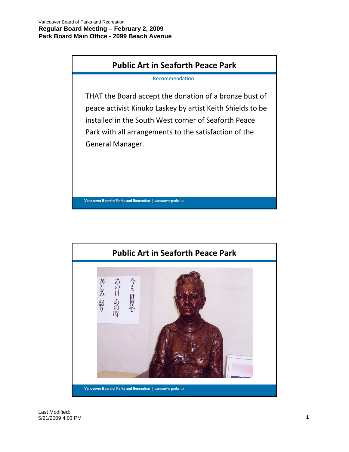



Last Modified: 5/21/2009 4:03 PM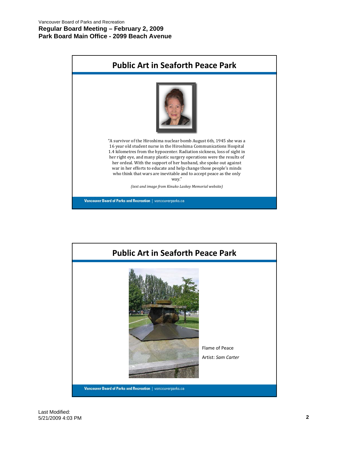## **Regular Board Meeting – February 2, 2009 Park Board Main Office - 2099 Beach Avenue**

| <b>Public Art in Seaforth Peace Park</b>                                                                                                                                                                                                                                                                                                                                                                                                     |
|----------------------------------------------------------------------------------------------------------------------------------------------------------------------------------------------------------------------------------------------------------------------------------------------------------------------------------------------------------------------------------------------------------------------------------------------|
| "A survivor of the Hiroshima nuclear bomb August 6th, 1945 she was a<br>16 year old student nurse in the Hiroshima Communications Hospital<br>1.4 kilometres from the hypocenter. Radiation sickness, loss of sight in<br>her right eye, and many plastic surgery operations were the results of<br>her ordeal. With the support of her husband, she spoke out against<br>war in her efforts to educate and help change those people's minds |
| who think that wars are inevitable and to accept peace as the only<br>way."                                                                                                                                                                                                                                                                                                                                                                  |
| (text and image from Kinuko Laskey Memorial website)                                                                                                                                                                                                                                                                                                                                                                                         |
| Vancouver Board of Parks and Recreation   vancouverparks.ca                                                                                                                                                                                                                                                                                                                                                                                  |

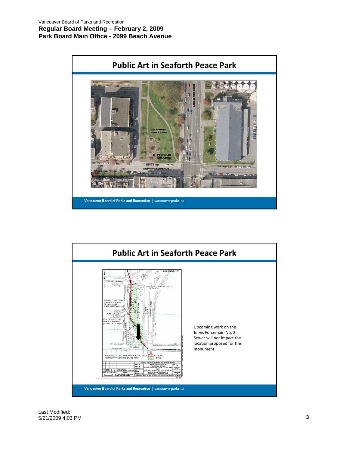